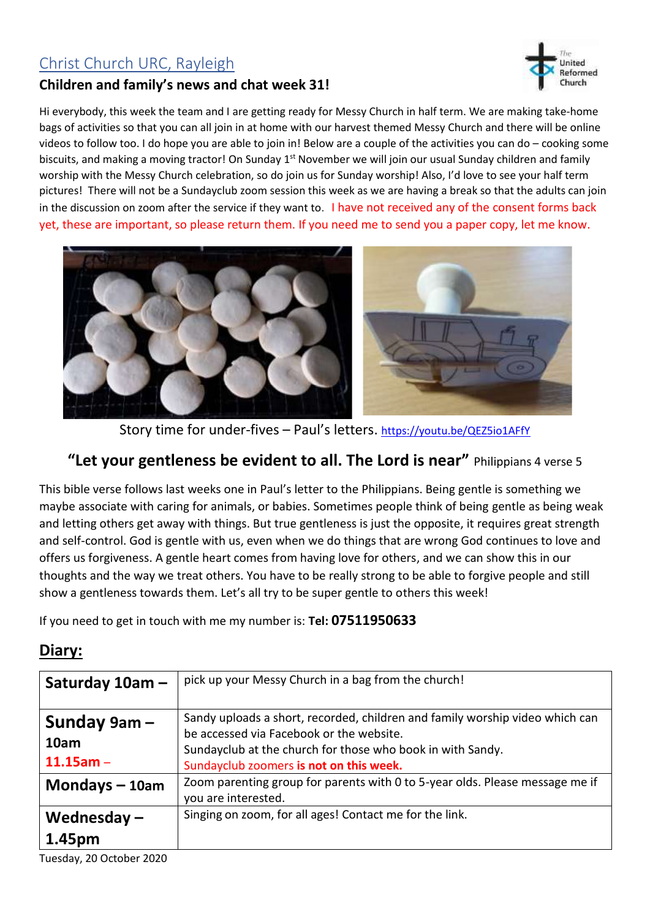## Christ Church URC, Rayleigh





Hi everybody, this week the team and I are getting ready for Messy Church in half term. We are making take-home bags of activities so that you can all join in at home with our harvest themed Messy Church and there will be online videos to follow too. I do hope you are able to join in! Below are a couple of the activities you can do – cooking some biscuits, and making a moving tractor! On Sunday 1<sup>st</sup> November we will join our usual Sunday children and family worship with the Messy Church celebration, so do join us for Sunday worship! Also, I'd love to see your half term pictures! There will not be a Sundayclub zoom session this week as we are having a break so that the adults can join in the discussion on zoom after the service if they want to. I have not received any of the consent forms back yet, these are important, so please return them. If you need me to send you a paper copy, let me know.



Story time for under-fives – Paul's letters. <https://youtu.be/QEZ5io1AFfY>

## **"Let your gentleness be evident to all. The Lord is near"** Philippians 4 verse 5

This bible verse follows last weeks one in Paul's letter to the Philippians. Being gentle is something we maybe associate with caring for animals, or babies. Sometimes people think of being gentle as being weak and letting others get away with things. But true gentleness is just the opposite, it requires great strength and self-control. God is gentle with us, even when we do things that are wrong God continues to love and offers us forgiveness. A gentle heart comes from having love for others, and we can show this in our thoughts and the way we treat others. You have to be really strong to be able to forgive people and still show a gentleness towards them. Let's all try to be super gentle to others this week!

If you need to get in touch with me my number is: **Tel: 07511950633**

## **Diary:**

| Saturday 10am -   | pick up your Messy Church in a bag from the church!                          |
|-------------------|------------------------------------------------------------------------------|
|                   |                                                                              |
| Sunday $9$ am $-$ | Sandy uploads a short, recorded, children and family worship video which can |
|                   | be accessed via Facebook or the website.                                     |
| 10am              | Sundayclub at the church for those who book in with Sandy.                   |
| $11.15$ am -      | Sundayclub zoomers is not on this week.                                      |
| Mondays $-10$ am  | Zoom parenting group for parents with 0 to 5-year olds. Please message me if |
|                   | you are interested.                                                          |
| Wednesday $-$     | Singing on zoom, for all ages! Contact me for the link.                      |
| 1.45pm            |                                                                              |

Tuesday, 20 October 2020